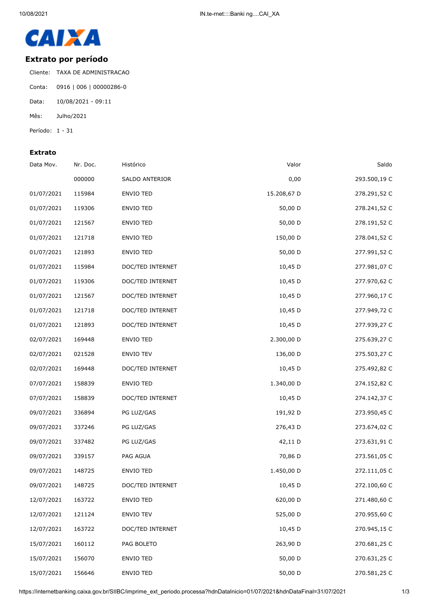

## **Extrato por período**

Cliente: TAXA DE ADMINISTRACAO Conta: 0916 | 006 | 00000286-0 Data: 10/08/2021 - 09:11 Mês: Julho/2021 Período: 1 - 31

## **Extrato**

| Data Mov.  | Nr. Doc. | Histórico        | Valor       | Saldo        |
|------------|----------|------------------|-------------|--------------|
|            | 000000   | SALDO ANTERIOR   | 0,00        | 293.500,19 C |
| 01/07/2021 | 115984   | ENVIO TED        | 15.208,67 D | 278.291,52 C |
| 01/07/2021 | 119306   | <b>ENVIO TED</b> | 50,00 D     | 278.241,52 C |
| 01/07/2021 | 121567   | ENVIO TED        | 50,00 D     | 278.191,52 C |
| 01/07/2021 | 121718   | ENVIO TED        | 150,00 D    | 278.041,52 C |
| 01/07/2021 | 121893   | <b>ENVIO TED</b> | 50,00 D     | 277.991,52 C |
| 01/07/2021 | 115984   | DOC/TED INTERNET | 10,45 D     | 277.981,07 C |
| 01/07/2021 | 119306   | DOC/TED INTERNET | 10,45 D     | 277.970,62 C |
| 01/07/2021 | 121567   | DOC/TED INTERNET | 10,45 D     | 277.960,17 C |
| 01/07/2021 | 121718   | DOC/TED INTERNET | 10,45 D     | 277.949,72 C |
| 01/07/2021 | 121893   | DOC/TED INTERNET | 10,45 D     | 277.939,27 C |
| 02/07/2021 | 169448   | ENVIO TED        | 2.300,00 D  | 275.639,27 C |
| 02/07/2021 | 021528   | <b>ENVIO TEV</b> | 136,00 D    | 275.503,27 C |
| 02/07/2021 | 169448   | DOC/TED INTERNET | 10,45 D     | 275.492,82 C |
| 07/07/2021 | 158839   | ENVIO TED        | 1.340,00 D  | 274.152,82 C |
| 07/07/2021 | 158839   | DOC/TED INTERNET | 10,45 D     | 274.142,37 C |
| 09/07/2021 | 336894   | PG LUZ/GAS       | 191,92 D    | 273.950,45 C |
| 09/07/2021 | 337246   | PG LUZ/GAS       | 276,43 D    | 273.674,02 C |
| 09/07/2021 | 337482   | PG LUZ/GAS       | 42,11 D     | 273.631,91 C |
| 09/07/2021 | 339157   | PAG AGUA         | 70,86 D     | 273.561,05 C |
| 09/07/2021 | 148725   | <b>ENVIO TED</b> | 1.450,00 D  | 272.111,05 C |
| 09/07/2021 | 148725   | DOC/TED INTERNET | 10,45 D     | 272.100,60 C |
| 12/07/2021 | 163722   | ENVIO TED        | 620,00 D    | 271.480,60 C |
| 12/07/2021 | 121124   | ENVIO TEV        | 525,00 D    | 270.955,60 C |
| 12/07/2021 | 163722   | DOC/TED INTERNET | 10,45 D     | 270.945,15 C |
| 15/07/2021 | 160112   | PAG BOLETO       | 263,90 D    | 270.681,25 C |
| 15/07/2021 | 156070   | ENVIO TED        | 50,00 D     | 270.631,25 C |
| 15/07/2021 | 156646   | ENVIO TED        | 50,00 D     | 270.581,25 C |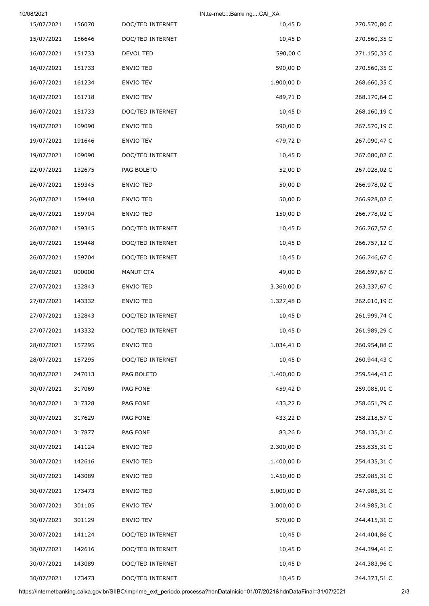| 10/08/2021 |        |                  | IN.te-rnet::::Banki ngCAI_XA |              |
|------------|--------|------------------|------------------------------|--------------|
| 15/07/2021 | 156070 | DOC/TED INTERNET | 10,45 D                      | 270.570,80 C |
| 15/07/2021 | 156646 | DOC/TED INTERNET | 10,45 D                      | 270.560,35 C |
| 16/07/2021 | 151733 | DEVOL TED        | 590,00 C                     | 271.150,35 C |
| 16/07/2021 | 151733 | ENVIO TED        | 590,00 D                     | 270.560,35 C |
| 16/07/2021 | 161234 | ENVIO TEV        | 1.900,00 D                   | 268.660,35 C |
| 16/07/2021 | 161718 | ENVIO TEV        | 489,71 D                     | 268.170,64 C |
| 16/07/2021 | 151733 | DOC/TED INTERNET | 10,45 D                      | 268.160,19 C |
| 19/07/2021 | 109090 | ENVIO TED        | 590,00 D                     | 267.570,19 C |
| 19/07/2021 | 191646 | ENVIO TEV        | 479,72 D                     | 267.090,47 C |
| 19/07/2021 | 109090 | DOC/TED INTERNET | 10,45 D                      | 267.080,02 C |
| 22/07/2021 | 132675 | PAG BOLETO       | 52,00 D                      | 267.028,02 C |
| 26/07/2021 | 159345 | ENVIO TED        | 50,00 D                      | 266.978,02 C |
| 26/07/2021 | 159448 | ENVIO TED        | 50,00 D                      | 266.928,02 C |
| 26/07/2021 | 159704 | ENVIO TED        | 150,00 D                     | 266.778,02 C |
| 26/07/2021 | 159345 | DOC/TED INTERNET | 10,45 D                      | 266.767,57 C |
| 26/07/2021 | 159448 | DOC/TED INTERNET | 10,45 D                      | 266.757,12 C |
| 26/07/2021 | 159704 | DOC/TED INTERNET | 10,45 D                      | 266.746,67 C |
| 26/07/2021 | 000000 | MANUT CTA        | 49,00 D                      | 266.697,67 C |
| 27/07/2021 | 132843 | ENVIO TED        | 3.360,00 D                   | 263.337,67 C |
| 27/07/2021 | 143332 | ENVIO TED        | 1.327,48 D                   | 262.010,19 C |
| 27/07/2021 | 132843 | DOC/TED INTERNET | 10,45 D                      | 261.999,74 C |
| 27/07/2021 | 143332 | DOC/TED INTERNET | 10,45 D                      | 261.989,29 C |
| 28/07/2021 | 157295 | ENVIO TED        | 1.034,41 D                   | 260.954,88 C |
| 28/07/2021 | 157295 | DOC/TED INTERNET | 10,45 D                      | 260.944,43 C |
| 30/07/2021 | 247013 | PAG BOLETO       | 1.400,00 D                   | 259.544,43 C |
| 30/07/2021 | 317069 | PAG FONE         | 459,42 D                     | 259.085,01 C |
| 30/07/2021 | 317328 | PAG FONE         | 433,22 D                     | 258.651,79 C |
| 30/07/2021 | 317629 | PAG FONE         | 433,22 D                     | 258.218,57 C |
| 30/07/2021 | 317877 | PAG FONE         | 83,26 D                      | 258.135,31 C |
| 30/07/2021 | 141124 | ENVIO TED        | 2.300,00 D                   | 255.835,31 C |
| 30/07/2021 | 142616 | ENVIO TED        | 1.400,00 D                   | 254.435,31 C |
| 30/07/2021 | 143089 | ENVIO TED        | 1.450,00 D                   | 252.985,31 C |
| 30/07/2021 | 173473 | ENVIO TED        | 5.000,00 D                   | 247.985,31 C |
| 30/07/2021 | 301105 | ENVIO TEV        | 3.000,00 D                   | 244.985,31 C |
| 30/07/2021 | 301129 | ENVIO TEV        | 570,00 D                     | 244.415,31 C |
| 30/07/2021 | 141124 | DOC/TED INTERNET | 10,45 D                      | 244.404,86 C |
| 30/07/2021 | 142616 | DOC/TED INTERNET | 10,45 D                      | 244.394,41 C |
| 30/07/2021 | 143089 | DOC/TED INTERNET | 10,45 D                      | 244.383,96 C |
| 30/07/2021 | 173473 | DOC/TED INTERNET | 10,45 D                      | 244.373,51 C |